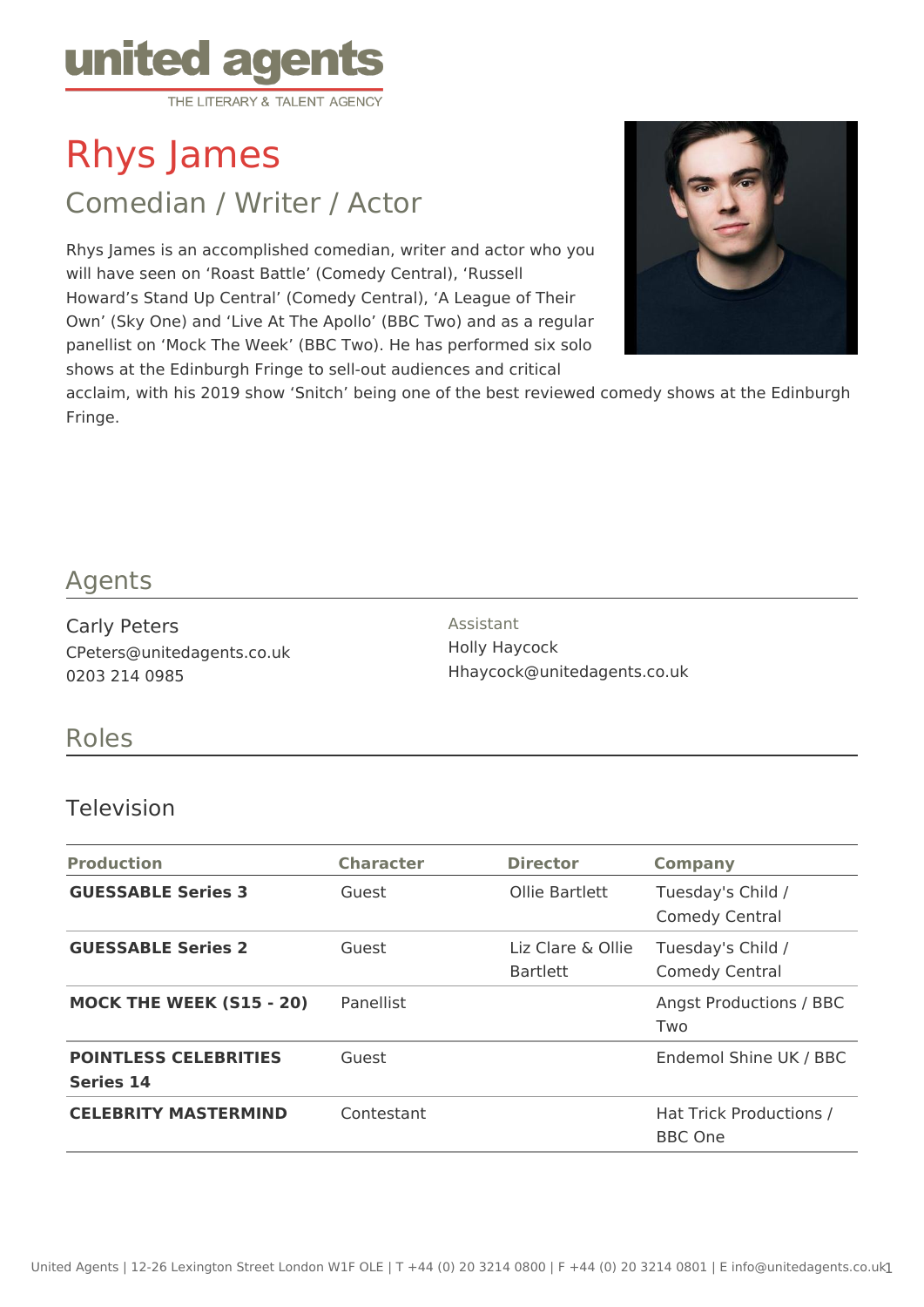

Rhys James

Comedian / Writer / Actor

Rhys James is an accomplished comedian, writer and actor who you will have seen on 'Roast Battle' (Comedy Central), 'Russell Howard's Stand Up Central' (Comedy Central), 'A League of Their Own' (Sky One) and 'Live At The Apollo' (BBC Two) and as a regular panellist on 'Mock The Week' (BBC Two). He has performed six solo shows at the Edinburgh Fringe to sell-out audiences and critical



acclaim, with his 2019 show 'Snitch' being one of the best reviewed comedy shows at the Edinburgh Fringe.

### Agents

Carly Peters CPeters@unitedagents.co.uk 0203 214 0985

Assistant Holly Haycock Hhaycock@unitedagents.co.uk

## Roles

#### Television

| <b>Production</b>                                | <b>Character</b> | <b>Director</b>                      | <b>Company</b>                             |
|--------------------------------------------------|------------------|--------------------------------------|--------------------------------------------|
| <b>GUESSABLE Series 3</b>                        | Guest            | Ollie Bartlett                       | Tuesday's Child /<br><b>Comedy Central</b> |
| <b>GUESSABLE Series 2</b>                        | Guest            | Liz Clare & Ollie<br><b>Bartlett</b> | Tuesday's Child /<br><b>Comedy Central</b> |
| <b>MOCK THE WEEK (S15 - 20)</b>                  | Panellist        |                                      | <b>Angst Productions / BBC</b><br>Two      |
| <b>POINTLESS CELEBRITIES</b><br><b>Series 14</b> | Guest            |                                      | Endemol Shine UK / BBC                     |
| <b>CELEBRITY MASTERMIND</b>                      | Contestant       |                                      | Hat Trick Productions /<br><b>BBC</b> One  |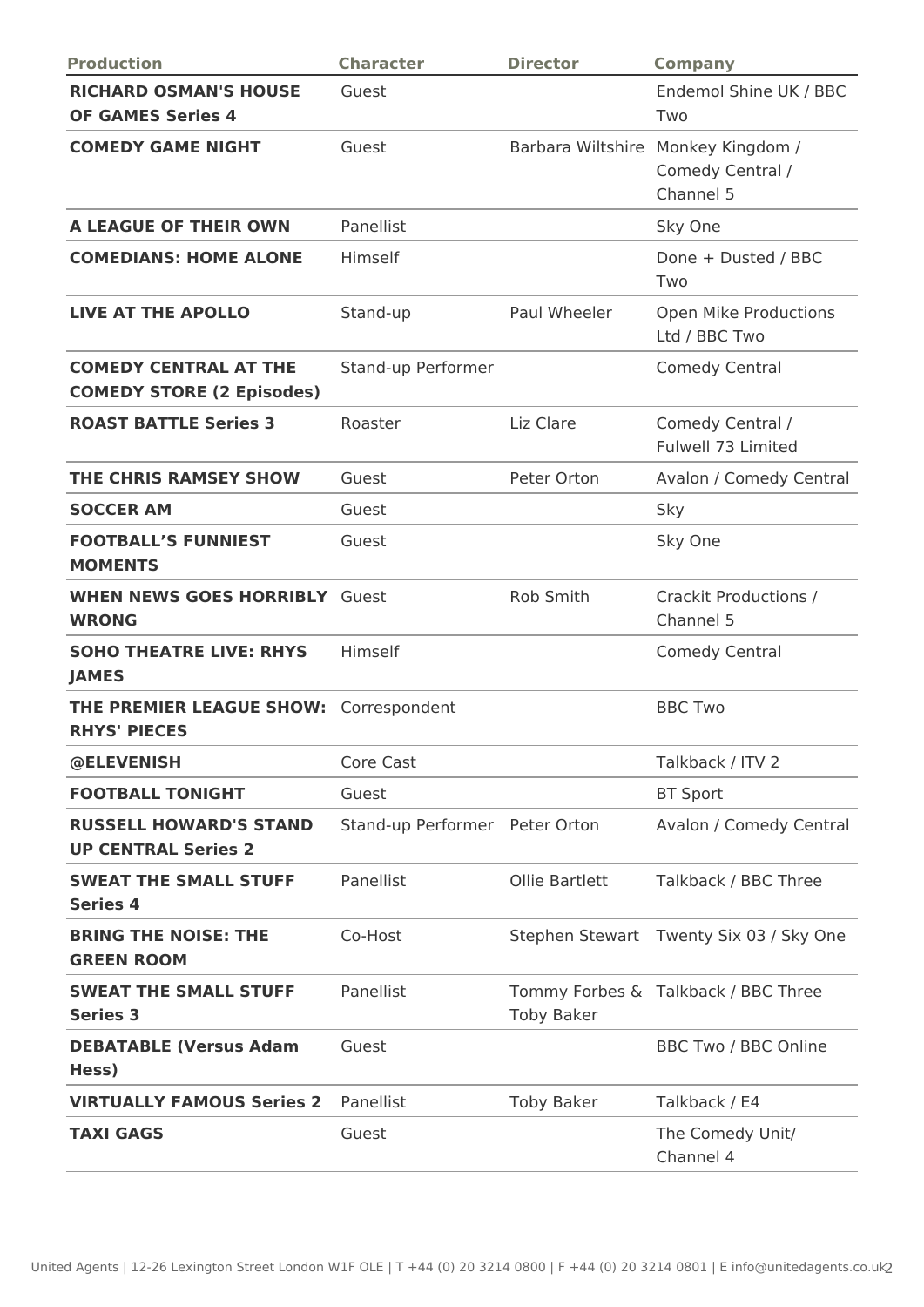| <b>Production</b>                                                    | <b>Character</b>               | <b>Director</b>   | <b>Company</b>                                    |
|----------------------------------------------------------------------|--------------------------------|-------------------|---------------------------------------------------|
| <b>RICHARD OSMAN'S HOUSE</b><br><b>OF GAMES Series 4</b>             | Guest                          |                   | Endemol Shine UK / BBC<br>Two                     |
| <b>COMEDY GAME NIGHT</b>                                             | Guest                          | Barbara Wiltshire | Monkey Kingdom /<br>Comedy Central /<br>Channel 5 |
| A LEAGUE OF THEIR OWN                                                | Panellist                      |                   | Sky One                                           |
| <b>COMEDIANS: HOME ALONE</b>                                         | Himself                        |                   | Done + Dusted / BBC<br>Two                        |
| <b>LIVE AT THE APOLLO</b>                                            | Stand-up                       | Paul Wheeler      | Open Mike Productions<br>Ltd / BBC Two            |
| <b>COMEDY CENTRAL AT THE</b><br><b>COMEDY STORE (2 Episodes)</b>     | Stand-up Performer             |                   | Comedy Central                                    |
| <b>ROAST BATTLE Series 3</b>                                         | Roaster                        | Liz Clare         | Comedy Central /<br>Fulwell 73 Limited            |
| <b>THE CHRIS RAMSEY SHOW</b>                                         | Guest                          | Peter Orton       | Avalon / Comedy Central                           |
| <b>SOCCER AM</b>                                                     | Guest                          |                   | Sky                                               |
| <b>FOOTBALL'S FUNNIEST</b><br><b>MOMENTS</b>                         | Guest                          |                   | Sky One                                           |
| <b>WHEN NEWS GOES HORRIBLY Guest</b><br><b>WRONG</b>                 |                                | Rob Smith         | Crackit Productions /<br>Channel 5                |
| <b>SOHO THEATRE LIVE: RHYS</b><br><b>JAMES</b>                       | Himself                        |                   | Comedy Central                                    |
| <b>THE PREMIER LEAGUE SHOW: Correspondent</b><br><b>RHYS' PIECES</b> |                                |                   | <b>BBC Two</b>                                    |
| @ELEVENISH                                                           | Core Cast                      |                   | Talkback / ITV 2                                  |
| <b>FOOTBALL TONIGHT</b>                                              | Guest                          |                   | <b>BT Sport</b>                                   |
| <b>RUSSELL HOWARD'S STAND</b><br><b>UP CENTRAL Series 2</b>          | Stand-up Performer Peter Orton |                   | Avalon / Comedy Central                           |
| <b>SWEAT THE SMALL STUFF</b><br><b>Series 4</b>                      | Panellist                      | Ollie Bartlett    | Talkback / BBC Three                              |
| <b>BRING THE NOISE: THE</b><br><b>GREEN ROOM</b>                     | Co-Host                        |                   | Stephen Stewart Twenty Six 03 / Sky One           |
| <b>SWEAT THE SMALL STUFF</b><br><b>Series 3</b>                      | Panellist                      | <b>Toby Baker</b> | Tommy Forbes & Talkback / BBC Three               |
| <b>DEBATABLE (Versus Adam</b><br>Hess)                               | Guest                          |                   | <b>BBC Two / BBC Online</b>                       |
| <b>VIRTUALLY FAMOUS Series 2</b>                                     | Panellist                      | <b>Toby Baker</b> | Talkback / E4                                     |
| <b>TAXI GAGS</b>                                                     | Guest                          |                   | The Comedy Unit/<br>Channel 4                     |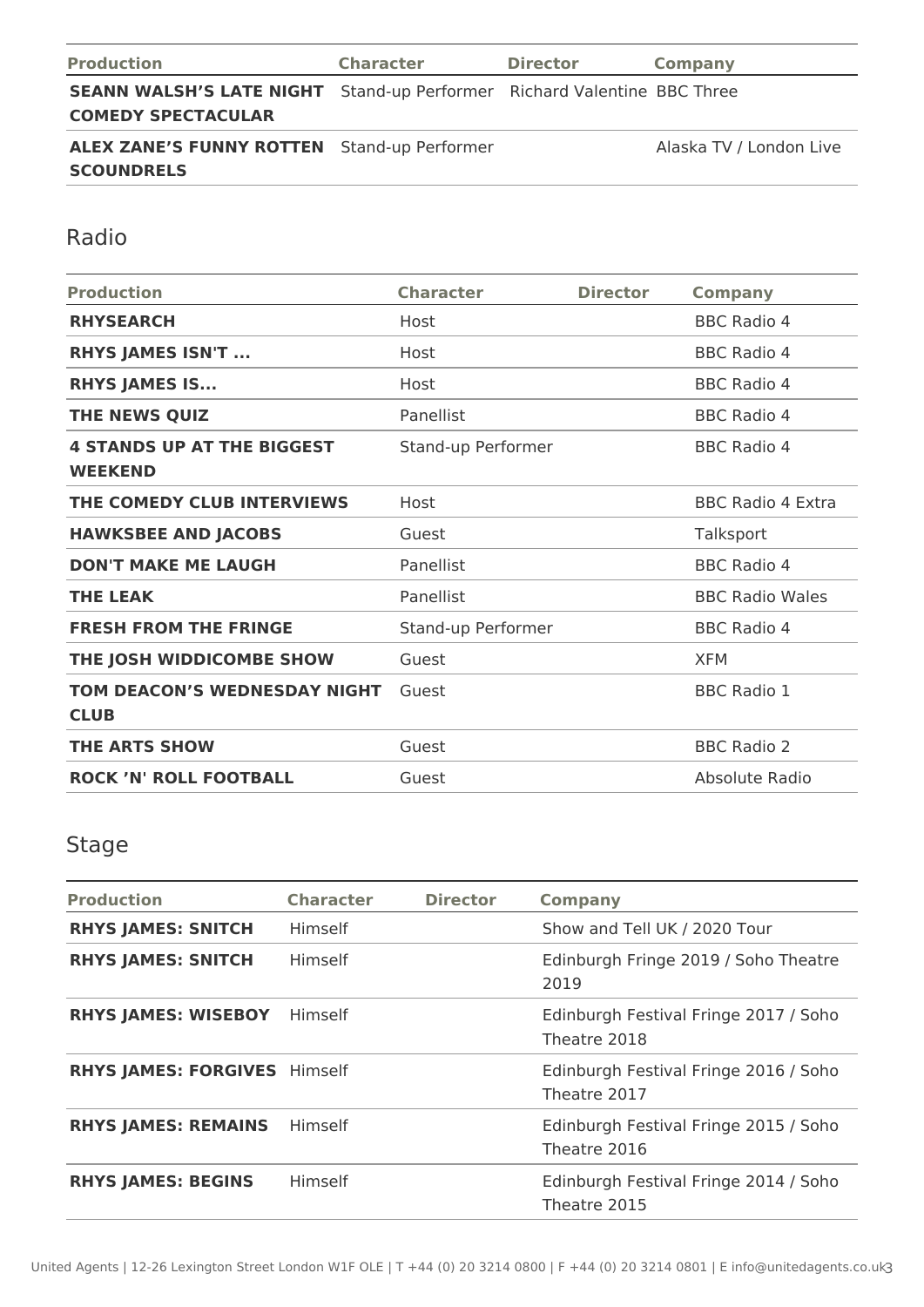| <b>Production</b>                                                                                           | <b>Character</b> | <b>Director</b> | Company                 |
|-------------------------------------------------------------------------------------------------------------|------------------|-----------------|-------------------------|
| <b>SEANN WALSH'S LATE NIGHT</b> Stand-up Performer Richard Valentine BBC Three<br><b>COMEDY SPECTACULAR</b> |                  |                 |                         |
| <b>ALEX ZANE'S FUNNY ROTTEN</b> Stand-up Performer<br><b>SCOUNDRELS</b>                                     |                  |                 | Alaska TV / London Live |

Radio

| <b>Production</b>                                   | <b>Character</b>   | <b>Director</b> | <b>Company</b>           |
|-----------------------------------------------------|--------------------|-----------------|--------------------------|
| <b>RHYSEARCH</b>                                    | Host               |                 | <b>BBC Radio 4</b>       |
| <b>RHYS JAMES ISN'T </b>                            | Host               |                 | <b>BBC Radio 4</b>       |
| <b>RHYS JAMES IS</b>                                | Host               |                 | <b>BBC Radio 4</b>       |
| THE NEWS QUIZ                                       | Panellist          |                 | <b>BBC Radio 4</b>       |
| <b>4 STANDS UP AT THE BIGGEST</b><br><b>WEEKEND</b> | Stand-up Performer |                 | <b>BBC Radio 4</b>       |
| THE COMEDY CLUB INTERVIEWS                          | Host               |                 | <b>BBC Radio 4 Extra</b> |
| <b>HAWKSBEE AND JACOBS</b>                          | Guest              |                 | Talksport                |
| <b>DON'T MAKE ME LAUGH</b>                          | Panellist          |                 | <b>BBC Radio 4</b>       |
| <b>THE LEAK</b>                                     | Panellist          |                 | <b>BBC Radio Wales</b>   |
| <b>FRESH FROM THE FRINGE</b>                        | Stand-up Performer |                 | <b>BBC Radio 4</b>       |
| THE JOSH WIDDICOMBE SHOW                            | Guest              |                 | <b>XFM</b>               |
| TOM DEACON'S WEDNESDAY NIGHT<br><b>CLUB</b>         | Guest              |                 | <b>BBC Radio 1</b>       |
| <b>THE ARTS SHOW</b>                                | Guest              |                 | <b>BBC Radio 2</b>       |
| <b>ROCK 'N' ROLL FOOTBALL</b>                       | Guest              |                 | Absolute Radio           |

# Stage

| <b>Production</b>                   | <b>Character</b> | <b>Director</b> | <b>Company</b>                                        |
|-------------------------------------|------------------|-----------------|-------------------------------------------------------|
| <b>RHYS JAMES: SNITCH</b>           | Himself          |                 | Show and Tell UK / 2020 Tour                          |
| <b>RHYS JAMES: SNITCH</b>           | <b>Himself</b>   |                 | Edinburgh Fringe 2019 / Soho Theatre<br>2019          |
| <b>RHYS JAMES: WISEBOY</b>          | Himself          |                 | Edinburgh Festival Fringe 2017 / Soho<br>Theatre 2018 |
| <b>RHYS JAMES: FORGIVES Himself</b> |                  |                 | Edinburgh Festival Fringe 2016 / Soho<br>Theatre 2017 |
| <b>RHYS JAMES: REMAINS</b>          | <b>Himself</b>   |                 | Edinburgh Festival Fringe 2015 / Soho<br>Theatre 2016 |
| <b>RHYS JAMES: BEGINS</b>           | Himself          |                 | Edinburgh Festival Fringe 2014 / Soho<br>Theatre 2015 |